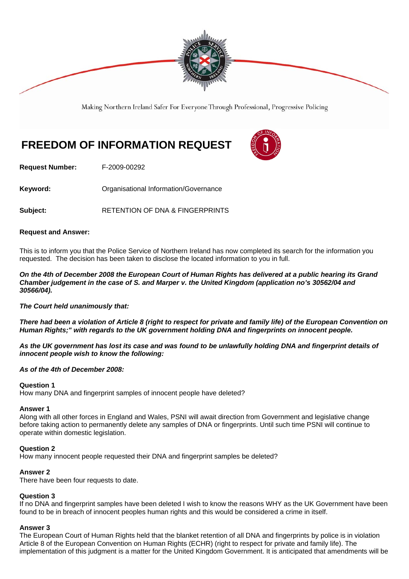

Making Northern Ireland Safer For Everyone Through Professional, Progressive Policing

# **FREEDOM OF INFORMATION REQUEST**



**Request Number:** F-2009-00292

**Keyword: Comparent Comparent Constrainers** Organisational Information/Governance

Subject: **RETENTION OF DNA & FINGERPRINTS** 

## **Request and Answer:**

This is to inform you that the Police Service of Northern Ireland has now completed its search for the information you requested. The decision has been taken to disclose the located information to you in full.

*On the 4th of December 2008 the European Court of Human Rights has delivered at a public hearing its Grand Chamber judgement in the case of S. and Marper v. the United Kingdom (application no's 30562/04 and 30566/04).* 

# *The Court held unanimously that:*

*There had been a violation of Article 8 (right to respect for private and family life) of the European Convention on Human Rights;" with regards to the UK government holding DNA and fingerprints on innocent people.* 

*As the UK government has lost its case and was found to be unlawfully holding DNA and fingerprint details of innocent people wish to know the following:* 

#### *As of the 4th of December 2008:*

#### **Question 1**

How many DNA and fingerprint samples of innocent people have deleted?

#### **Answer 1**

Along with all other forces in England and Wales, PSNI will await direction from Government and legislative change before taking action to permanently delete any samples of DNA or fingerprints. Until such time PSNI will continue to operate within domestic legislation.

#### **Question 2**

How many innocent people requested their DNA and fingerprint samples be deleted?

# **Answer 2**

There have been four requests to date.

# **Question 3**

If no DNA and fingerprint samples have been deleted I wish to know the reasons WHY as the UK Government have been found to be in breach of innocent peoples human rights and this would be considered a crime in itself.

# **Answer 3**

The European Court of Human Rights held that the blanket retention of all DNA and fingerprints by police is in violation Article 8 of the European Convention on Human Rights (ECHR) (right to respect for private and family life). The implementation of this judgment is a matter for the United Kingdom Government. It is anticipated that amendments will be